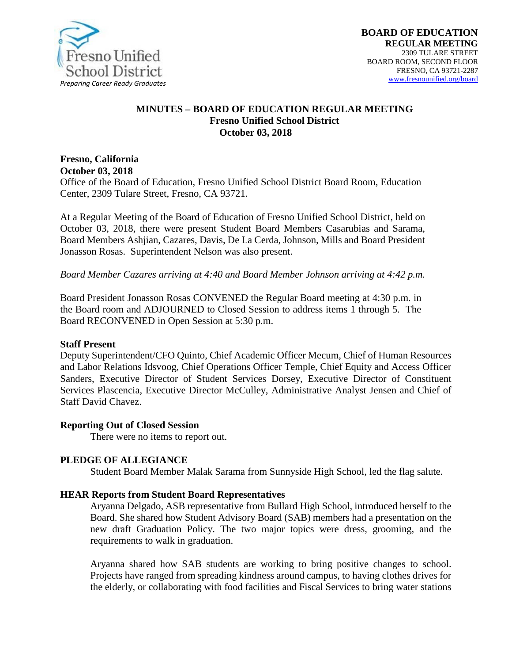

#### **MINUTES – BOARD OF EDUCATION REGULAR MEETING Fresno Unified School District October 03, 2018**

## **Fresno, California October 03, 2018**

Office of the Board of Education, Fresno Unified School District Board Room, Education Center, 2309 Tulare Street, Fresno, CA 93721.

At a Regular Meeting of the Board of Education of Fresno Unified School District, held on October 03, 2018, there were present Student Board Members Casarubias and Sarama, Board Members Ashjian, Cazares, Davis, De La Cerda, Johnson, Mills and Board President Jonasson Rosas. Superintendent Nelson was also present.

*Board Member Cazares arriving at 4:40 and Board Member Johnson arriving at 4:42 p.m.*

Board President Jonasson Rosas CONVENED the Regular Board meeting at 4:30 p.m. in the Board room and ADJOURNED to Closed Session to address items 1 through 5. The Board RECONVENED in Open Session at 5:30 p.m.

#### **Staff Present**

Deputy Superintendent/CFO Quinto, Chief Academic Officer Mecum, Chief of Human Resources and Labor Relations Idsvoog, Chief Operations Officer Temple*,* Chief Equity and Access Officer Sanders, Executive Director of Student Services Dorsey, Executive Director of Constituent Services Plascencia, Executive Director McCulley, Administrative Analyst Jensen and Chief of Staff David Chavez.

#### **Reporting Out of Closed Session**

There were no items to report out.

#### **PLEDGE OF ALLEGIANCE**

Student Board Member Malak Sarama from Sunnyside High School, led the flag salute.

#### **HEAR Reports from Student Board Representatives**

Aryanna Delgado, ASB representative from Bullard High School, introduced herself to the Board. She shared how Student Advisory Board (SAB) members had a presentation on the new draft Graduation Policy. The two major topics were dress, grooming, and the requirements to walk in graduation.

Aryanna shared how SAB students are working to bring positive changes to school. Projects have ranged from spreading kindness around campus, to having clothes drives for the elderly, or collaborating with food facilities and Fiscal Services to bring water stations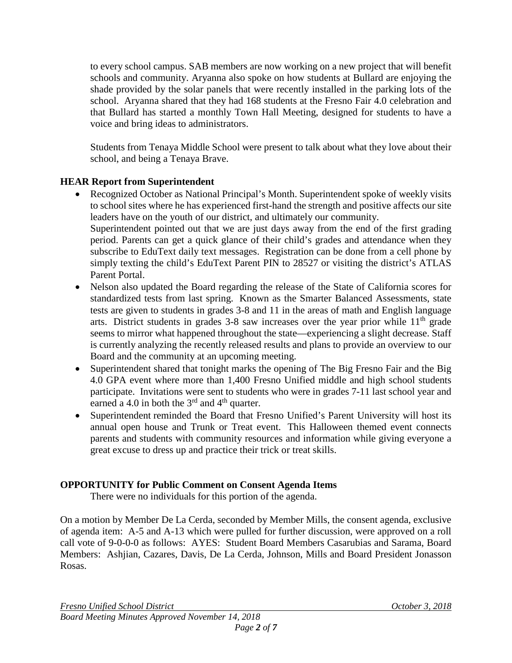to every school campus. SAB members are now working on a new project that will benefit schools and community. Aryanna also spoke on how students at Bullard are enjoying the shade provided by the solar panels that were recently installed in the parking lots of the school. Aryanna shared that they had 168 students at the Fresno Fair 4.0 celebration and that Bullard has started a monthly Town Hall Meeting, designed for students to have a voice and bring ideas to administrators.

Students from Tenaya Middle School were present to talk about what they love about their school, and being a Tenaya Brave.

# **HEAR Report from Superintendent**

• Recognized October as National Principal's Month. Superintendent spoke of weekly visits to school sites where he has experienced first-hand the strength and positive affects our site leaders have on the youth of our district, and ultimately our community. Superintendent pointed out that we are just days away from the end of the first grading period. Parents can get a quick glance of their child's grades and attendance when they

subscribe to EduText daily text messages. Registration can be done from a cell phone by simply texting the child's EduText Parent PIN to 28527 or visiting the district's ATLAS Parent Portal.

- Nelson also updated the Board regarding the release of the State of California scores for standardized tests from last spring. Known as the Smarter Balanced Assessments, state tests are given to students in grades 3-8 and 11 in the areas of math and English language arts. District students in grades  $3-8$  saw increases over the year prior while  $11<sup>th</sup>$  grade seems to mirror what happened throughout the state—experiencing a slight decrease. Staff is currently analyzing the recently released results and plans to provide an overview to our Board and the community at an upcoming meeting.
- Superintendent shared that tonight marks the opening of The Big Fresno Fair and the Big 4.0 GPA event where more than 1,400 Fresno Unified middle and high school students participate. Invitations were sent to students who were in grades 7-11 last school year and earned a 4.0 in both the  $3<sup>rd</sup>$  and  $4<sup>th</sup>$  quarter.
- Superintendent reminded the Board that Fresno Unified's Parent University will host its annual open house and Trunk or Treat event. This Halloween themed event connects parents and students with community resources and information while giving everyone a great excuse to dress up and practice their trick or treat skills.

## **OPPORTUNITY for Public Comment on Consent Agenda Items**

There were no individuals for this portion of the agenda.

On a motion by Member De La Cerda, seconded by Member Mills, the consent agenda, exclusive of agenda item: A-5 and A-13 which were pulled for further discussion, were approved on a roll call vote of 9-0-0-0 as follows: AYES: Student Board Members Casarubias and Sarama, Board Members: Ashjian, Cazares, Davis, De La Cerda, Johnson, Mills and Board President Jonasson Rosas.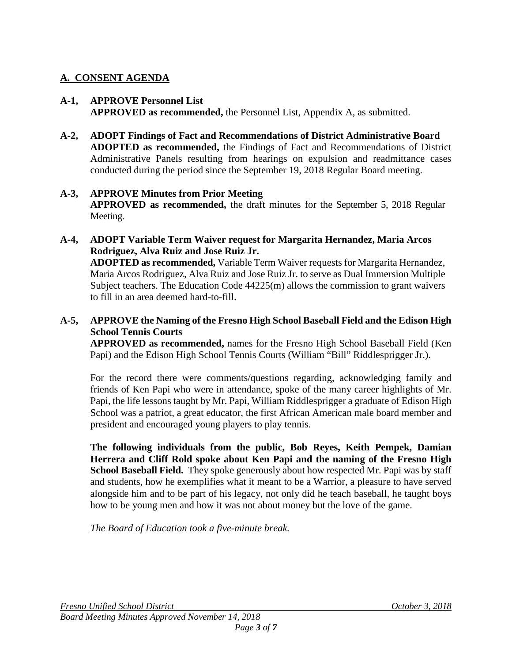# **A. CONSENT AGENDA**

#### **A-1, APPROVE Personnel List APPROVED as recommended,** the Personnel List, Appendix A, as submitted.

**A-2, ADOPT Findings of Fact and Recommendations of District Administrative Board ADOPTED as recommended,** the Findings of Fact and Recommendations of District Administrative Panels resulting from hearings on expulsion and readmittance cases conducted during the period since the September 19, 2018 Regular Board meeting.

### **A-3, APPROVE Minutes from Prior Meeting APPROVED as recommended,** the draft minutes for the September 5, 2018 Regular Meeting.

**A-4, ADOPT Variable Term Waiver request for Margarita Hernandez, Maria Arcos Rodriguez, Alva Ruiz and Jose Ruiz Jr. ADOPTED as recommended,** Variable Term Waiver requests for Margarita Hernandez, Maria Arcos Rodriguez, Alva Ruiz and Jose Ruiz Jr. to serve as Dual Immersion Multiple Subject teachers. The Education Code 44225(m) allows the commission to grant waivers to fill in an area deemed hard-to-fill.

## **A-5, APPROVE the Naming of the Fresno High School Baseball Field and the Edison High School Tennis Courts**

**APPROVED as recommended,** names for the Fresno High School Baseball Field (Ken Papi) and the Edison High School Tennis Courts (William "Bill" Riddlesprigger Jr.).

For the record there were comments/questions regarding, acknowledging family and friends of Ken Papi who were in attendance, spoke of the many career highlights of Mr. Papi, the life lessons taught by Mr. Papi, William Riddlesprigger a graduate of Edison High School was a patriot, a great educator, the first African American male board member and president and encouraged young players to play tennis.

**The following individuals from the public, Bob Reyes, Keith Pempek, Damian Herrera and Cliff Rold spoke about Ken Papi and the naming of the Fresno High School Baseball Field.** They spoke generously about how respected Mr. Papi was by staff and students, how he exemplifies what it meant to be a Warrior, a pleasure to have served alongside him and to be part of his legacy, not only did he teach baseball, he taught boys how to be young men and how it was not about money but the love of the game.

*The Board of Education took a five-minute break.*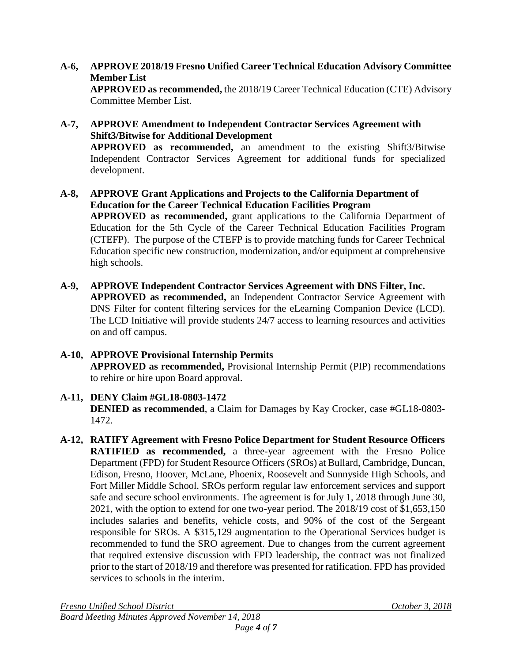- **A-6, APPROVE 2018/19 Fresno Unified Career Technical Education Advisory Committee Member List APPROVED as recommended,** the 2018/19 Career Technical Education (CTE) Advisory Committee Member List.
- **A-7, APPROVE Amendment to Independent Contractor Services Agreement with Shift3/Bitwise for Additional Development APPROVED as recommended,** an amendment to the existing Shift3/Bitwise Independent Contractor Services Agreement for additional funds for specialized development.
- **A-8, APPROVE Grant Applications and Projects to the California Department of Education for the Career Technical Education Facilities Program APPROVED as recommended,** grant applications to the California Department of Education for the 5th Cycle of the Career Technical Education Facilities Program (CTEFP). The purpose of the CTEFP is to provide matching funds for Career Technical Education specific new construction, modernization, and/or equipment at comprehensive high schools.
- **A-9, APPROVE Independent Contractor Services Agreement with DNS Filter, Inc. APPROVED as recommended,** an Independent Contractor Service Agreement with DNS Filter for content filtering services for the eLearning Companion Device (LCD). The LCD Initiative will provide students 24/7 access to learning resources and activities on and off campus.
- **A-10, APPROVE Provisional Internship Permits APPROVED as recommended,** Provisional Internship Permit (PIP) recommendations to rehire or hire upon Board approval.
- **A-11, DENY Claim #GL18-0803-1472 DENIED as recommended**, a Claim for Damages by Kay Crocker, case #GL18-0803- 1472.
- **A-12, RATIFY Agreement with Fresno Police Department for Student Resource Officers RATIFIED as recommended,** a three-year agreement with the Fresno Police Department (FPD) for Student Resource Officers (SROs) at Bullard, Cambridge, Duncan, Edison, Fresno, Hoover, McLane, Phoenix, Roosevelt and Sunnyside High Schools, and Fort Miller Middle School. SROs perform regular law enforcement services and support safe and secure school environments. The agreement is for July 1, 2018 through June 30, 2021, with the option to extend for one two-year period. The 2018/19 cost of \$1,653,150 includes salaries and benefits, vehicle costs, and 90% of the cost of the Sergeant responsible for SROs. A \$315,129 augmentation to the Operational Services budget is recommended to fund the SRO agreement. Due to changes from the current agreement that required extensive discussion with FPD leadership, the contract was not finalized prior to the start of 2018/19 and therefore was presented for ratification. FPD has provided services to schools in the interim.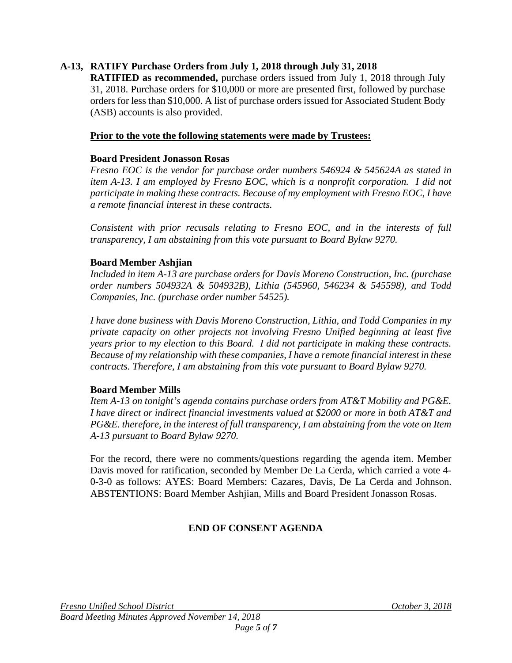## **A-13, RATIFY Purchase Orders from July 1, 2018 through July 31, 2018**

**RATIFIED as recommended,** purchase orders issued from July 1, 2018 through July 31, 2018. Purchase orders for \$10,000 or more are presented first, followed by purchase orders for less than \$10,000. A list of purchase orders issued for Associated Student Body (ASB) accounts is also provided.

#### **Prior to the vote the following statements were made by Trustees:**

#### **Board President Jonasson Rosas**

*Fresno EOC is the vendor for purchase order numbers 546924 & 545624A as stated in item A-13. I am employed by Fresno EOC, which is a nonprofit corporation. I did not participate in making these contracts. Because of my employment with Fresno EOC, I have a remote financial interest in these contracts.*

*Consistent with prior recusals relating to Fresno EOC, and in the interests of full transparency, I am abstaining from this vote pursuant to Board Bylaw 9270.*

#### **Board Member Ashjian**

*Included in item A-13 are purchase orders for Davis Moreno Construction, Inc. (purchase order numbers 504932A & 504932B), Lithia (545960, 546234 & 545598), and Todd Companies, Inc. (purchase order number 54525).*

*I have done business with Davis Moreno Construction, Lithia, and Todd Companies in my private capacity on other projects not involving Fresno Unified beginning at least five years prior to my election to this Board. I did not participate in making these contracts. Because of my relationship with these companies, I have a remote financial interest in these contracts. Therefore, I am abstaining from this vote pursuant to Board Bylaw 9270.*

#### **Board Member Mills**

*Item A-13 on tonight's agenda contains purchase orders from AT&T Mobility and PG&E. I have direct or indirect financial investments valued at \$2000 or more in both AT&T and PG&E. therefore, in the interest of full transparency, I am abstaining from the vote on Item A-13 pursuant to Board Bylaw 9270.*

For the record, there were no comments/questions regarding the agenda item. Member Davis moved for ratification, seconded by Member De La Cerda, which carried a vote 4- 0-3-0 as follows: AYES: Board Members: Cazares, Davis, De La Cerda and Johnson. ABSTENTIONS: Board Member Ashjian, Mills and Board President Jonasson Rosas.

#### **END OF CONSENT AGENDA**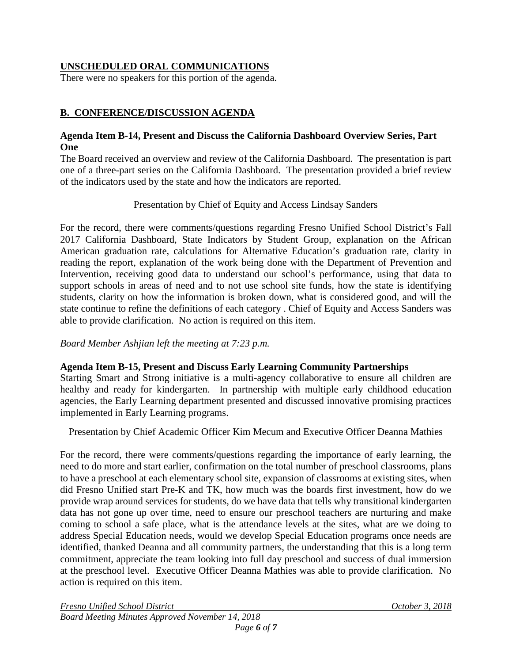# **UNSCHEDULED ORAL COMMUNICATIONS**

There were no speakers for this portion of the agenda.

# **B. CONFERENCE/DISCUSSION AGENDA**

## **Agenda Item B-14, Present and Discuss the California Dashboard Overview Series, Part One**

The Board received an overview and review of the California Dashboard. The presentation is part one of a three-part series on the California Dashboard. The presentation provided a brief review of the indicators used by the state and how the indicators are reported.

Presentation by Chief of Equity and Access Lindsay Sanders

For the record, there were comments/questions regarding Fresno Unified School District's Fall 2017 California Dashboard, State Indicators by Student Group, explanation on the African American graduation rate, calculations for Alternative Education's graduation rate, clarity in reading the report, explanation of the work being done with the Department of Prevention and Intervention, receiving good data to understand our school's performance, using that data to support schools in areas of need and to not use school site funds, how the state is identifying students, clarity on how the information is broken down, what is considered good, and will the state continue to refine the definitions of each category . Chief of Equity and Access Sanders was able to provide clarification. No action is required on this item.

*Board Member Ashjian left the meeting at 7:23 p.m.*

## **Agenda Item B-15, Present and Discuss Early Learning Community Partnerships**

Starting Smart and Strong initiative is a multi-agency collaborative to ensure all children are healthy and ready for kindergarten. In partnership with multiple early childhood education agencies, the Early Learning department presented and discussed innovative promising practices implemented in Early Learning programs.

Presentation by Chief Academic Officer Kim Mecum and Executive Officer Deanna Mathies

For the record, there were comments/questions regarding the importance of early learning, the need to do more and start earlier, confirmation on the total number of preschool classrooms, plans to have a preschool at each elementary school site, expansion of classrooms at existing sites, when did Fresno Unified start Pre-K and TK, how much was the boards first investment, how do we provide wrap around services for students, do we have data that tells why transitional kindergarten data has not gone up over time, need to ensure our preschool teachers are nurturing and make coming to school a safe place, what is the attendance levels at the sites, what are we doing to address Special Education needs, would we develop Special Education programs once needs are identified, thanked Deanna and all community partners, the understanding that this is a long term commitment, appreciate the team looking into full day preschool and success of dual immersion at the preschool level. Executive Officer Deanna Mathies was able to provide clarification. No action is required on this item.